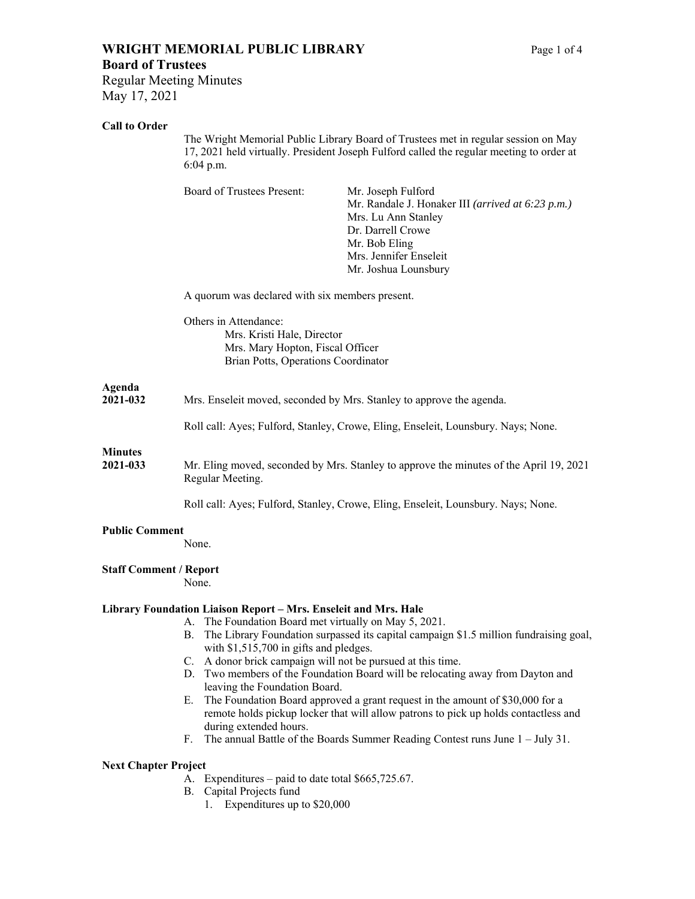# **WRIGHT MEMORIAL PUBLIC LIBRARY** Page 1 of 4

Regular Meeting Minutes May 17, 2021

## **Call to Order**

The Wright Memorial Public Library Board of Trustees met in regular session on May 17, 2021 held virtually. President Joseph Fulford called the regular meeting to order at 6:04 p.m.

|                               | Board of Trustees Present:                                                                                                     | Mr. Joseph Fulford<br>Mr. Randale J. Honaker III (arrived at 6:23 p.m.)<br>Mrs. Lu Ann Stanley<br>Dr. Darrell Crowe<br>Mr. Bob Eling<br>Mrs. Jennifer Enseleit<br>Mr. Joshua Lounsbury |
|-------------------------------|--------------------------------------------------------------------------------------------------------------------------------|----------------------------------------------------------------------------------------------------------------------------------------------------------------------------------------|
|                               | A quorum was declared with six members present.                                                                                |                                                                                                                                                                                        |
|                               | Others in Attendance:<br>Mrs. Kristi Hale, Director<br>Mrs. Mary Hopton, Fiscal Officer<br>Brian Potts, Operations Coordinator |                                                                                                                                                                                        |
| Agenda<br>2021-032            | Mrs. Enseleit moved, seconded by Mrs. Stanley to approve the agenda.                                                           |                                                                                                                                                                                        |
|                               | Roll call: Ayes; Fulford, Stanley, Crowe, Eling, Enseleit, Lounsbury. Nays; None.                                              |                                                                                                                                                                                        |
| <b>Minutes</b><br>2021-033    | Mr. Eling moved, seconded by Mrs. Stanley to approve the minutes of the April 19, 2021<br>Regular Meeting.                     |                                                                                                                                                                                        |
|                               | Roll call: Ayes; Fulford, Stanley, Crowe, Eling, Enseleit, Lounsbury. Nays; None.                                              |                                                                                                                                                                                        |
| <b>Public Comment</b>         | None.                                                                                                                          |                                                                                                                                                                                        |
| <b>Staff Comment / Report</b> | None.                                                                                                                          |                                                                                                                                                                                        |
|                               | Library Foundation Liaison Report - Mrs. Enseleit and Mrs. Hale                                                                |                                                                                                                                                                                        |
|                               | А.<br>В.<br>with \$1,515,700 in gifts and pledges.                                                                             | The Foundation Board met virtually on May 5, 2021.<br>The Library Foundation surpassed its capital campaign \$1.5 million fundraising goal,                                            |
|                               | D.<br>leaving the Foundation Board.                                                                                            | C. A donor brick campaign will not be pursued at this time.<br>Two members of the Foundation Board will be relocating away from Dayton and                                             |
|                               | Е.<br>during extended hours.                                                                                                   | The Foundation Board approved a grant request in the amount of \$30,000 for a<br>remote holds pickup locker that will allow patrons to pick up holds contactless and                   |
|                               | F.                                                                                                                             | The annual Battle of the Boards Summer Reading Contest runs June 1 - July 31.                                                                                                          |

#### **Next Chapter Project**

- A. Expenditures paid to date total \$665,725.67.
- B. Capital Projects fund
	- 1. Expenditures up to \$20,000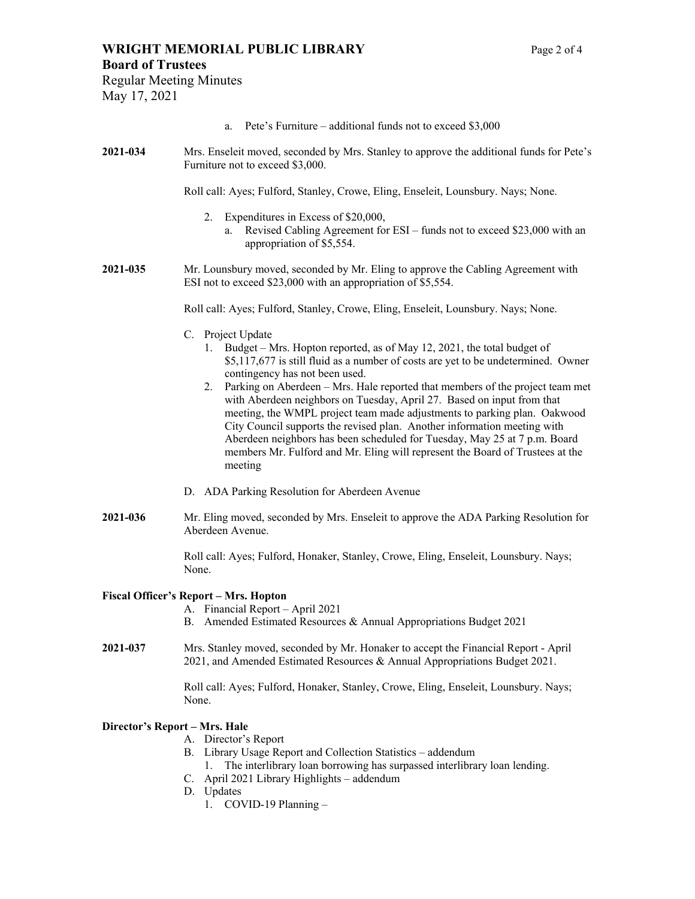### **WRIGHT MEMORIAL PUBLIC LIBRARY** Page 2 of 4

#### **Board of Trustees**

Regular Meeting Minutes May 17, 2021

- a. Pete's Furniture additional funds not to exceed \$3,000
- **2021-034** Mrs. Enseleit moved, seconded by Mrs. Stanley to approve the additional funds for Pete's Furniture not to exceed \$3,000.

Roll call: Ayes; Fulford, Stanley, Crowe, Eling, Enseleit, Lounsbury. Nays; None.

- 2. Expenditures in Excess of \$20,000,
	- a. Revised Cabling Agreement for ESI funds not to exceed \$23,000 with an appropriation of \$5,554.
- **2021-035** Mr. Lounsbury moved, seconded by Mr. Eling to approve the Cabling Agreement with ESI not to exceed \$23,000 with an appropriation of \$5,554.

Roll call: Ayes; Fulford, Stanley, Crowe, Eling, Enseleit, Lounsbury. Nays; None.

- C. Project Update
	- 1. Budget Mrs. Hopton reported, as of May 12, 2021, the total budget of \$5,117,677 is still fluid as a number of costs are yet to be undetermined. Owner contingency has not been used.
	- 2. Parking on Aberdeen Mrs. Hale reported that members of the project team met with Aberdeen neighbors on Tuesday, April 27. Based on input from that meeting, the WMPL project team made adjustments to parking plan. Oakwood City Council supports the revised plan. Another information meeting with Aberdeen neighbors has been scheduled for Tuesday, May 25 at 7 p.m. Board members Mr. Fulford and Mr. Eling will represent the Board of Trustees at the meeting
- D. ADA Parking Resolution for Aberdeen Avenue
- **2021-036** Mr. Eling moved, seconded by Mrs. Enseleit to approve the ADA Parking Resolution for Aberdeen Avenue.

Roll call: Ayes; Fulford, Honaker, Stanley, Crowe, Eling, Enseleit, Lounsbury. Nays; None.

#### **Fiscal Officer's Report – Mrs. Hopton**

- A. Financial Report April 2021
- B. Amended Estimated Resources & Annual Appropriations Budget 2021
- **2021-037** Mrs. Stanley moved, seconded by Mr. Honaker to accept the Financial Report April 2021, and Amended Estimated Resources & Annual Appropriations Budget 2021.

Roll call: Ayes; Fulford, Honaker, Stanley, Crowe, Eling, Enseleit, Lounsbury. Nays; None.

#### **Director's Report – Mrs. Hale**

- A. Director's Report
- B. Library Usage Report and Collection Statistics addendum
- 1. The interlibrary loan borrowing has surpassed interlibrary loan lending.
- C. April 2021 Library Highlights addendum
- D. Updates
	- 1. COVID-19 Planning –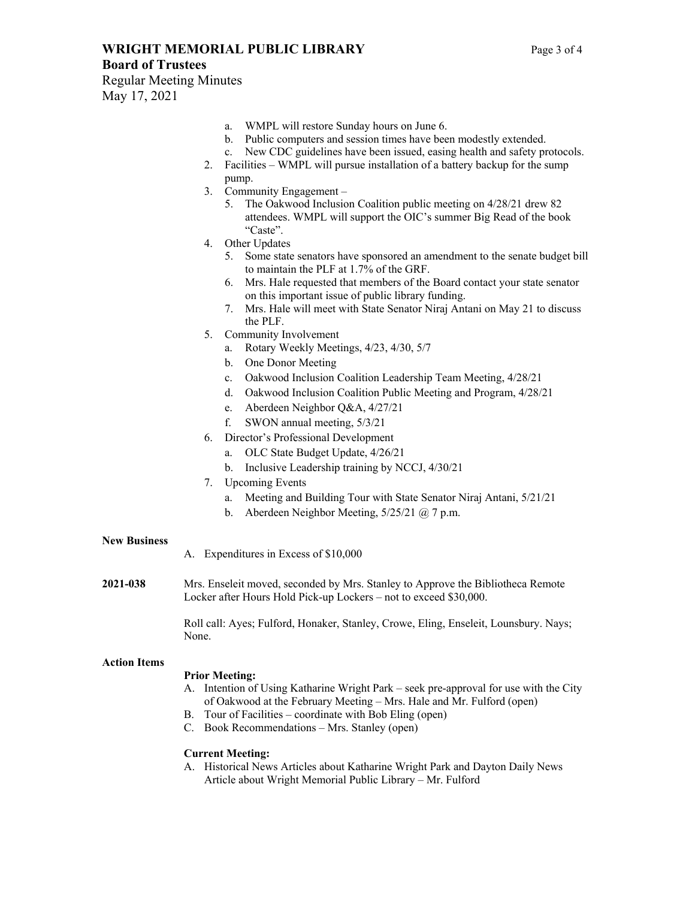# **WRIGHT MEMORIAL PUBLIC LIBRARY** Page 3 of 4

- a. WMPL will restore Sunday hours on June 6.
- b. Public computers and session times have been modestly extended.
- c. New CDC guidelines have been issued, easing health and safety protocols.
- 2. Facilities WMPL will pursue installation of a battery backup for the sump pump.
- 3. Community Engagement
	- 5. The Oakwood Inclusion Coalition public meeting on 4/28/21 drew 82 attendees. WMPL will support the OIC's summer Big Read of the book "Caste".
- 4. Other Updates
	- 5. Some state senators have sponsored an amendment to the senate budget bill to maintain the PLF at 1.7% of the GRF.
	- 6. Mrs. Hale requested that members of the Board contact your state senator on this important issue of public library funding.
	- 7. Mrs. Hale will meet with State Senator Niraj Antani on May 21 to discuss the PLF.
- 5. Community Involvement
	- a. Rotary Weekly Meetings, 4/23, 4/30, 5/7
	- b. One Donor Meeting
	- c. Oakwood Inclusion Coalition Leadership Team Meeting, 4/28/21
	- d. Oakwood Inclusion Coalition Public Meeting and Program, 4/28/21
	- e. Aberdeen Neighbor Q&A, 4/27/21
	- f. SWON annual meeting, 5/3/21
- 6. Director's Professional Development
	- a. OLC State Budget Update, 4/26/21
	- b. Inclusive Leadership training by NCCJ, 4/30/21
- 7. Upcoming Events
	- a. Meeting and Building Tour with State Senator Niraj Antani, 5/21/21
	- b. Aberdeen Neighbor Meeting, 5/25/21 @ 7 p.m.

#### **New Business**

- A. Expenditures in Excess of \$10,000
- **2021-038** Mrs. Enseleit moved, seconded by Mrs. Stanley to Approve the Bibliotheca Remote Locker after Hours Hold Pick-up Lockers – not to exceed \$30,000.

Roll call: Ayes; Fulford, Honaker, Stanley, Crowe, Eling, Enseleit, Lounsbury. Nays; None.

#### **Action Items**

#### **Prior Meeting:**

- A. Intention of Using Katharine Wright Park seek pre-approval for use with the City of Oakwood at the February Meeting – Mrs. Hale and Mr. Fulford (open)
- B. Tour of Facilities coordinate with Bob Eling (open)
- C. Book Recommendations Mrs. Stanley (open)

#### **Current Meeting:**

A. Historical News Articles about Katharine Wright Park and Dayton Daily News Article about Wright Memorial Public Library – Mr. Fulford